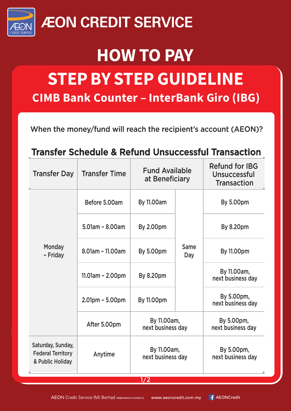

### **ÆON CREDIT SERVICE**

### **HOW TO PAY**

# **STEP BY STEP GUIDELINE**

**CIMB Bank Counter - InterBank Giro (IBG)** 

When the money/fund will reach the recipient's account (AEON)?

#### Transfer Schedule & Refund Unsuccessful Transaction

| <b>Transfer Day</b>                                               | <b>Transfer Time</b> | <b>Fund Available</b><br>at Beneficiary |             | <b>Refund for IBG</b><br>Unsuccessful<br><b>Transaction</b> |
|-------------------------------------------------------------------|----------------------|-----------------------------------------|-------------|-------------------------------------------------------------|
| Monday<br>- Friday                                                | Before 5.00am        | <b>By 11.00am</b>                       | Same<br>Day | <b>By 5.00pm</b>                                            |
|                                                                   | 5.01am - 8.00am      | <b>By 2.00pm</b>                        |             | <b>By 8.20pm</b>                                            |
|                                                                   | 8.01am - 11.00am     | <b>By 5.00pm</b>                        |             | <b>By 11.00pm</b>                                           |
|                                                                   | 11.01am - 2.00pm     | <b>By 8.20pm</b>                        |             | By 11.00am,<br>next business day                            |
|                                                                   | $2.01pm - 5.00pm$    | <b>By 11.00pm</b>                       |             | By 5.00pm,<br>next business day                             |
|                                                                   | After 5.00pm         | By 11.00am,<br>next business day        |             | By 5.00pm,<br>next business day                             |
| Saturday, Sunday,<br><b>Federal Territory</b><br>& Public Holiday | Anytime              | By 11.00am,<br>next business day        |             | By 5.00pm,<br>next business day                             |
| 1/2                                                               |                      |                                         |             |                                                             |